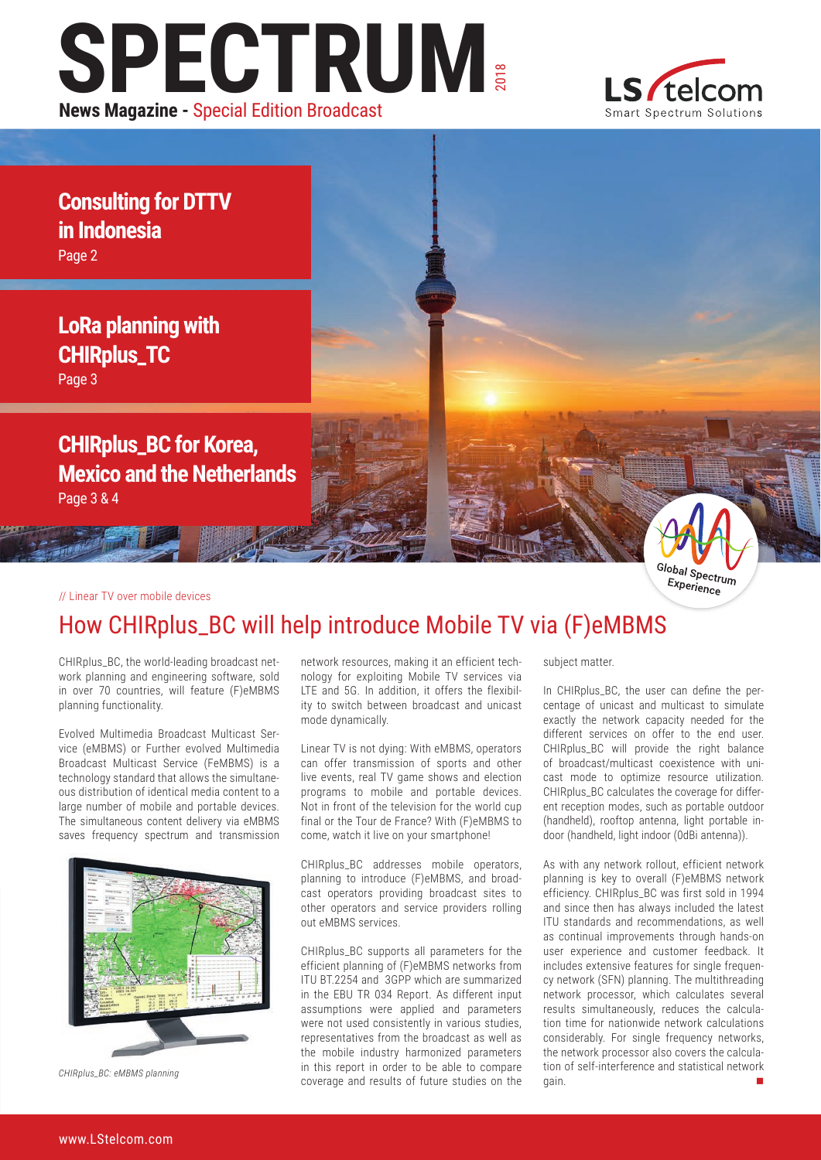# **SPECTRUM** 2018 **News Magazine -** Special Edition Broadcast



**Consulting for DTTV in Indonesia** Page 2

**LoRa planning with CHIRplus\_TC**

Page 3

**CHIRplus\_BC for Korea, Mexico and the Netherlands** Page 3 & 4

#### // Linear TV over mobile devices



# How CHIRplus\_BC will help introduce Mobile TV via (F)eMBMS

CHIRplus\_BC, the world-leading broadcast network planning and engineering software, sold in over 70 countries, will feature (F)eMBMS planning functionality.

Evolved Multimedia Broadcast Multicast Service (eMBMS) or Further evolved Multimedia Broadcast Multicast Service (FeMBMS) is a technology standard that allows the simultaneous distribution of identical media content to a large number of mobile and portable devices. The simultaneous content delivery via eMBMS saves frequency spectrum and transmission



*CHIRplus\_BC: eMBMS planning*

network resources, making it an efficient technology for exploiting Mobile TV services via LTE and 5G. In addition, it offers the flexibility to switch between broadcast and unicast mode dynamically.

Linear TV is not dying: With eMBMS, operators can offer transmission of sports and other live events, real TV game shows and election programs to mobile and portable devices. Not in front of the television for the world cup final or the Tour de France? With (F)eMBMS to come, watch it live on your smartphone!

CHIRplus\_BC addresses mobile operators, planning to introduce (F)eMBMS, and broadcast operators providing broadcast sites to other operators and service providers rolling out eMBMS services.

CHIRplus\_BC supports all parameters for the efficient planning of (F)eMBMS networks from ITU BT.2254 and 3GPP which are summarized in the EBU TR 034 Report. As different input assumptions were applied and parameters were not used consistently in various studies, representatives from the broadcast as well as the mobile industry harmonized parameters in this report in order to be able to compare coverage and results of future studies on the

subject matter.

In CHIRplus\_BC, the user can define the percentage of unicast and multicast to simulate exactly the network capacity needed for the different services on offer to the end user. CHIRplus\_BC will provide the right balance of broadcast/multicast coexistence with unicast mode to optimize resource utilization. CHIRplus\_BC calculates the coverage for different reception modes, such as portable outdoor (handheld), rooftop antenna, light portable indoor (handheld, light indoor (0dBi antenna)).

As with any network rollout, efficient network planning is key to overall (F)eMBMS network efficiency. CHIRplus\_BC was first sold in 1994 and since then has always included the latest ITU standards and recommendations, as well as continual improvements through hands-on user experience and customer feedback. It includes extensive features for single frequency network (SFN) planning. The multithreading network processor, which calculates several results simultaneously, reduces the calculation time for nationwide network calculations considerably. For single frequency networks, the network processor also covers the calculation of self-interference and statistical network gain.  $\blacksquare$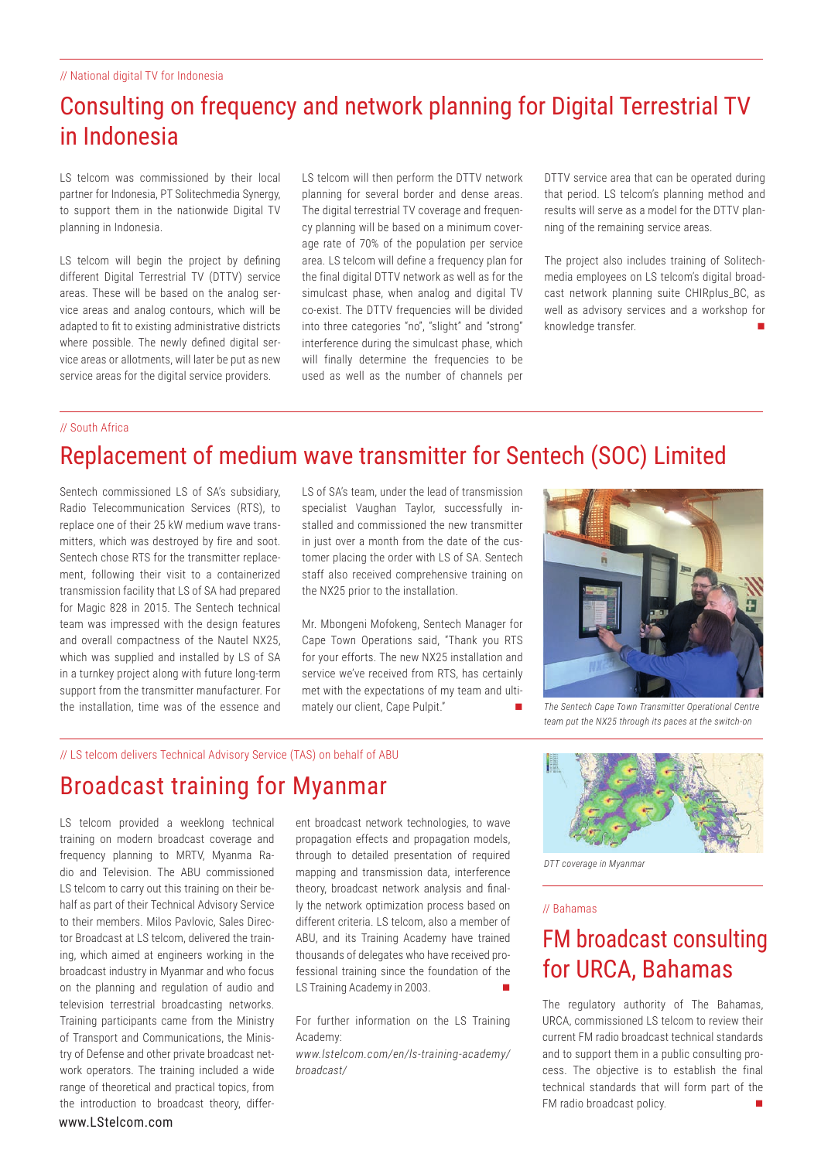# Consulting on frequency and network planning for Digital Terrestrial TV in Indonesia

LS telcom was commissioned by their local partner for Indonesia, PT Solitechmedia Synergy, to support them in the nationwide Digital TV planning in Indonesia.

LS telcom will begin the project by defining different Digital Terrestrial TV (DTTV) service areas. These will be based on the analog service areas and analog contours, which will be adapted to fit to existing administrative districts where possible. The newly defined digital service areas or allotments, will later be put as new service areas for the digital service providers.

LS telcom will then perform the DTTV network planning for several border and dense areas. The digital terrestrial TV coverage and frequency planning will be based on a minimum coverage rate of 70% of the population per service area. LS telcom will define a frequency plan for the final digital DTTV network as well as for the simulcast phase, when analog and digital TV co-exist. The DTTV frequencies will be divided into three categories "no", "slight" and "strong" interference during the simulcast phase, which will finally determine the frequencies to be used as well as the number of channels per

DTTV service area that can be operated during that period. LS telcom's planning method and results will serve as a model for the DTTV planning of the remaining service areas.

The project also includes training of Solitechmedia employees on LS telcom's digital broadcast network planning suite CHIRplus\_BC, as well as advisory services and a workshop for knowledge transfer.

#### // South Africa

# Replacement of medium wave transmitter for Sentech (SOC) Limited

Sentech commissioned LS of SA's subsidiary, Radio Telecommunication Services (RTS), to replace one of their 25 kW medium wave transmitters, which was destroyed by fire and soot. Sentech chose RTS for the transmitter replacement, following their visit to a containerized transmission facility that LS of SA had prepared for Magic 828 in 2015. The Sentech technical team was impressed with the design features and overall compactness of the Nautel NX25, which was supplied and installed by LS of SA in a turnkey project along with future long-term support from the transmitter manufacturer. For the installation, time was of the essence and

LS of SA's team, under the lead of transmission specialist Vaughan Taylor, successfully installed and commissioned the new transmitter in just over a month from the date of the customer placing the order with LS of SA. Sentech staff also received comprehensive training on the NX25 prior to the installation.

Mr. Mbongeni Mofokeng, Sentech Manager for Cape Town Operations said, "Thank you RTS for your efforts. The new NX25 installation and service we've received from RTS, has certainly met with the expectations of my team and ultimately our client, Cape Pulpit."



*The Sentech Cape Town Transmitter Operational Centre team put the NX25 through its paces at the switch-on*

#### // LS telcom delivers Technical Advisory Service (TAS) on behalf of ABU

## Broadcast training for Myanmar

www.LStelcom.com LS telcom provided a weeklong technical training on modern broadcast coverage and frequency planning to MRTV, Myanma Radio and Television. The ABU commissioned LS telcom to carry out this training on their behalf as part of their Technical Advisory Service to their members. Milos Pavlovic, Sales Director Broadcast at LS telcom, delivered the training, which aimed at engineers working in the broadcast industry in Myanmar and who focus on the planning and regulation of audio and television terrestrial broadcasting networks. Training participants came from the Ministry of Transport and Communications, the Ministry of Defense and other private broadcast network operators. The training included a wide range of theoretical and practical topics, from the introduction to broadcast theory, different broadcast network technologies, to wave propagation effects and propagation models, through to detailed presentation of required mapping and transmission data, interference theory, broadcast network analysis and finally the network optimization process based on different criteria. LS telcom, also a member of ABU, and its Training Academy have trained thousands of delegates who have received professional training since the foundation of the LS Training Academy in 2003.

For further information on the LS Training Academy:

*www.lstelcom.com/en/ls-training-academy/ broadcast/* 



*DTT coverage in Myanmar*

#### // Bahamas

## FM broadcast consulting for URCA, Bahamas

The regulatory authority of The Bahamas, URCA, commissioned LS telcom to review their current FM radio broadcast technical standards and to support them in a public consulting process. The objective is to establish the final technical standards that will form part of the FM radio broadcast policy.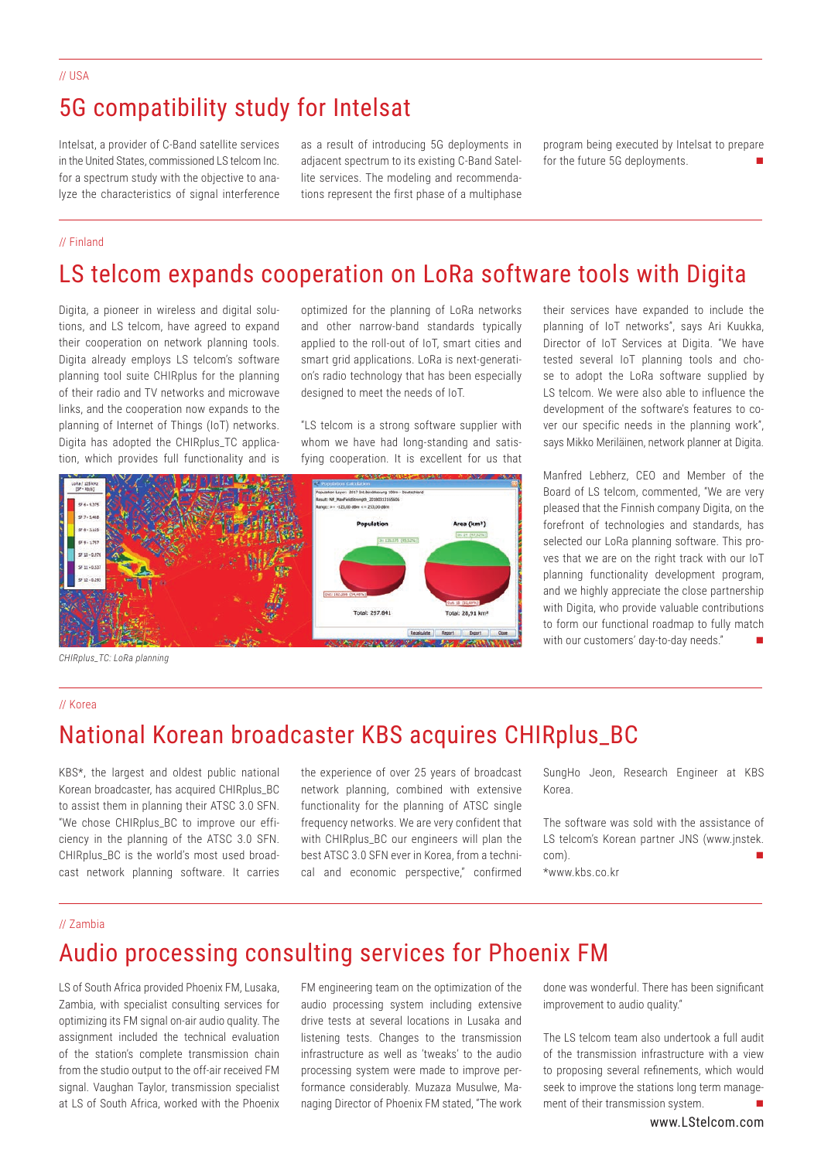## 5G compatibility study for Intelsat

Intelsat, a provider of C-Band satellite services in the United States, commissioned LS telcom Inc. for a spectrum study with the objective to analyze the characteristics of signal interference

as a result of introducing 5G deployments in adjacent spectrum to its existing C-Band Satellite services. The modeling and recommendations represent the first phase of a multiphase program being executed by Intelsat to prepare for the future 5G deployments.

#### // Finland

# LS telcom expands cooperation on LoRa software tools with Digita

Digita, a pioneer in wireless and digital solutions, and LS telcom, have agreed to expand their cooperation on network planning tools. Digita already employs LS telcom's software planning tool suite CHIRplus for the planning of their radio and TV networks and microwave links, and the cooperation now expands to the planning of Internet of Things (IoT) networks. Digita has adopted the CHIRplus\_TC application, which provides full functionality and is

optimized for the planning of LoRa networks and other narrow-band standards typically applied to the roll-out of IoT, smart cities and smart grid applications. LoRa is next-generation's radio technology that has been especially designed to meet the needs of IoT.

"LS telcom is a strong software supplier with whom we have had long-standing and satisfying cooperation. It is excellent for us that



*CHIRplus\_TC: LoRa planning*

// Korea

## National Korean broadcaster KBS acquires CHIRplus\_BC

KBS\*, the largest and oldest public national Korean broadcaster, has acquired CHIRplus\_BC to assist them in planning their ATSC 3.0 SFN. "We chose CHIRplus\_BC to improve our efficiency in the planning of the ATSC 3.0 SFN. CHIRplus\_BC is the world's most used broadcast network planning software. It carries

the experience of over 25 years of broadcast network planning, combined with extensive functionality for the planning of ATSC single frequency networks. We are very confident that with CHIRplus BC our engineers will plan the best ATSC 3.0 SFN ever in Korea, from a technical and economic perspective," confirmed

SungHo Jeon, Research Engineer at KBS Korea.

The software was sold with the assistance of LS telcom's Korean partner JNS (www.jnstek. com). \*www.kbs.co.kr

#### // Zambia

## Audio processing consulting services for Phoenix FM

LS of South Africa provided Phoenix FM, Lusaka, Zambia, with specialist consulting services for optimizing its FM signal on-air audio quality. The assignment included the technical evaluation of the station's complete transmission chain from the studio output to the off-air received FM signal. Vaughan Taylor, transmission specialist at LS of South Africa, worked with the Phoenix

FM engineering team on the optimization of the audio processing system including extensive drive tests at several locations in Lusaka and listening tests. Changes to the transmission infrastructure as well as 'tweaks' to the audio processing system were made to improve performance considerably. Muzaza Musulwe, Managing Director of Phoenix FM stated, "The work

done was wonderful. There has been significant improvement to audio quality."

The LS telcom team also undertook a full audit of the transmission infrastructure with a view to proposing several refinements, which would seek to improve the stations long term management of their transmission system.

planning of IoT networks", says Ari Kuukka, Director of IoT Services at Digita. "We have tested several IoT planning tools and chose to adopt the LoRa software supplied by LS telcom. We were also able to influence the development of the software's features to cover our specific needs in the planning work", says Mikko Meriläinen, network planner at Digita.

their services have expanded to include the

Manfred Lebherz, CEO and Member of the Board of LS telcom, commented, "We are very pleased that the Finnish company Digita, on the forefront of technologies and standards, has selected our LoRa planning software. This proves that we are on the right track with our IoT planning functionality development program, and we highly appreciate the close partnership with Digita, who provide valuable contributions to form our functional roadmap to fully match with our customers' day-to-day needs."